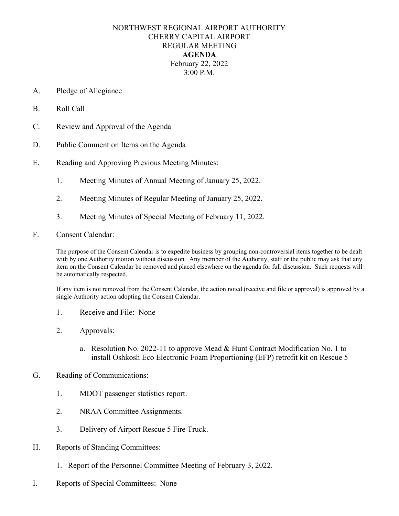## NORTHWEST REGIONAL AIRPORT AUTHORITY CHERRY CAPITAL AIRPORT REGULAR MEETING **AGENDA** February 22, 2022 3:00 P.M.

- A. Pledge of Allegiance
- B. Roll Call
- C. Review and Approval of the Agenda
- D. Public Comment on Items on the Agenda
- E. Reading and Approving Previous Meeting Minutes:
	- 1. Meeting Minutes of Annual Meeting of January 25, 2022.
	- 2. Meeting Minutes of Regular Meeting of January 25, 2022.
	- 3. Meeting Minutes of Special Meeting of February 11, 2022.
- F. Consent Calendar:

The purpose of the Consent Calendar is to expedite business by grouping non-controversial items together to be dealt with by one Authority motion without discussion. Any member of the Authority, staff or the public may ask that any item on the Consent Calendar be removed and placed elsewhere on the agenda for full discussion. Such requests will be automatically respected.

If any item is not removed from the Consent Calendar, the action noted (receive and file or approval) is approved by a single Authority action adopting the Consent Calendar.

- 1. Receive and File: None
- 2. Approvals:
	- a. Resolution No. 2022-11 to approve Mead & Hunt Contract Modification No. 1 to install Oshkosh Eco Electronic Foam Proportioning (EFP) retrofit kit on Rescue 5

## G. Reading of Communications:

- 1. MDOT passenger statistics report.
- 2. NRAA Committee Assignments.
- 3. Delivery of Airport Rescue 5 Fire Truck.
- H. Reports of Standing Committees:
	- 1. Report of the Personnel Committee Meeting of February 3, 2022.
- I. Reports of Special Committees: None